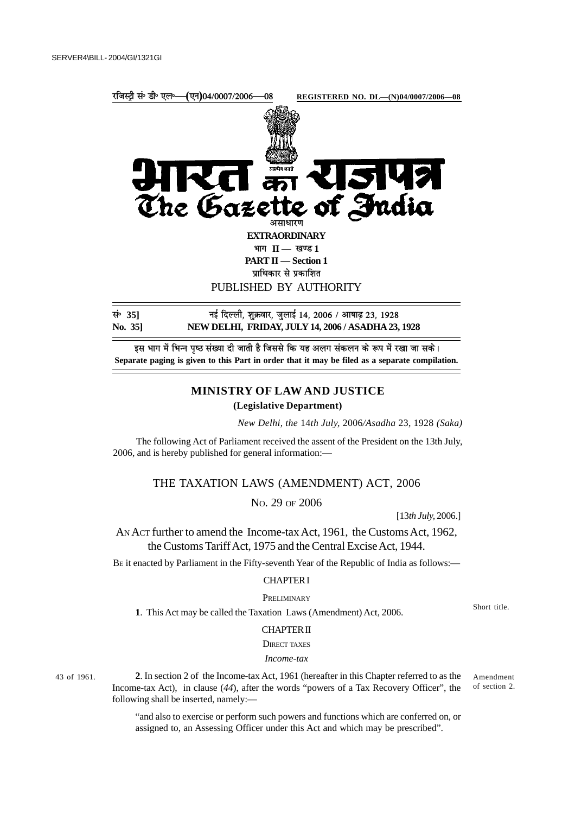

इस भाग में भिन्न पृष्ठ संख्या दी जाती है जिससे कि यह अलग संकलन के रूप में रखा जा सके। **Separate paging is given to this Part in order that it may be filed as a separate compilation.**

## **MINISTRY OF LAW AND JUSTICE**

### **(Legislative Department)**

*New Delhi, the* 14*th July,* 2006*/Asadha* 23, 1928 *(Saka)*

The following Act of Parliament received the assent of the President on the 13th July, 2006, and is hereby published for general information:—

# THE TAXATION LAWS (AMENDMENT) ACT, 2006

NO. 29 OF 2006

[13*th July,* 2006.]

AN ACT further to amend the Income-tax Act, 1961, the Customs Act, 1962, the Customs Tariff Act, 1975 and the Central Excise Act, 1944.

BE it enacted by Parliament in the Fifty-seventh Year of the Republic of India as follows:—

## CHAPTER I

**PRELIMINARY** 

**1**. This Act may be called the Taxation Laws (Amendment) Act, 2006.

Short title.

### CHAPTER II

**DIRECT TAXES** 

## *Income-tax*

43 of 1961.

**2**. In section 2 of the Income-tax Act, 1961 (hereafter in this Chapter referred to as the Income-tax Act), in clause (*44*), after the words "powers of a Tax Recovery Officer", the following shall be inserted, namely:— Amendment of section 2.

"and also to exercise or perform such powers and functions which are conferred on, or assigned to, an Assessing Officer under this Act and which may be prescribed".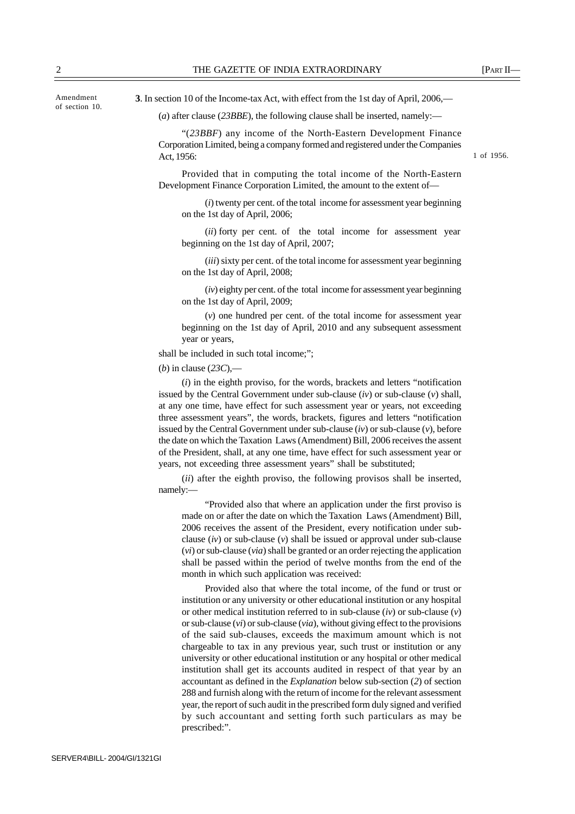(*iv*) eighty per cent. of the total income for assessment year beginning on the 1st day of April, 2009;

Act, 1956:

(*v*) one hundred per cent. of the total income for assessment year beginning on the 1st day of April, 2010 and any subsequent assessment year or years,

shall be included in such total income;";

on the 1st day of April, 2006;

on the 1st day of April, 2008;

beginning on the 1st day of April, 2007;

(*b*) in clause (*23C*),—

(*i*) in the eighth proviso, for the words, brackets and letters "notification issued by the Central Government under sub-clause (*iv*) or sub-clause (*v*) shall, at any one time, have effect for such assessment year or years, not exceeding three assessment years", the words, brackets, figures and letters "notification issued by the Central Government under sub-clause (*iv*) or sub-clause (*v*), before the date on which the Taxation Laws (Amendment) Bill, 2006 receives the assent of the President, shall, at any one time, have effect for such assessment year or years, not exceeding three assessment years" shall be substituted;

(*ii*) after the eighth proviso, the following provisos shall be inserted, namely:—

"Provided also that where an application under the first proviso is made on or after the date on which the Taxation Laws (Amendment) Bill, 2006 receives the assent of the President, every notification under subclause (*iv*) or sub-clause (*v*) shall be issued or approval under sub-clause (*vi*) or sub-clause (*via*) shall be granted or an order rejecting the application shall be passed within the period of twelve months from the end of the month in which such application was received:

Provided also that where the total income, of the fund or trust or institution or any university or other educational institution or any hospital or other medical institution referred to in sub-clause (*iv*) or sub-clause (*v*) or sub-clause (*vi*) or sub-clause (*via*), without giving effect to the provisions of the said sub-clauses, exceeds the maximum amount which is not chargeable to tax in any previous year, such trust or institution or any university or other educational institution or any hospital or other medical institution shall get its accounts audited in respect of that year by an accountant as defined in the *Explanation* below sub-section (*2*) of section 288 and furnish along with the return of income for the relevant assessment year, the report of such audit in the prescribed form duly signed and verified by such accountant and setting forth such particulars as may be prescribed:".

**3**. In section 10 of the Income-tax Act, with effect from the 1st day of April, 2006,—

(*a*) after clause (*23BBE*), the following clause shall be inserted, namely:—

Development Finance Corporation Limited, the amount to the extent of—

"(*23BBF*) any income of the North-Eastern Development Finance Corporation Limited, being a company formed and registered under the Companies

Provided that in computing the total income of the North-Eastern

(*i*) twenty per cent. of the total income for assessment year beginning

(*ii*) forty per cent. of the total income for assessment year

(*iii*) sixty per cent. of the total income for assessment year beginning

1 of 1956.

Amendment of section 10.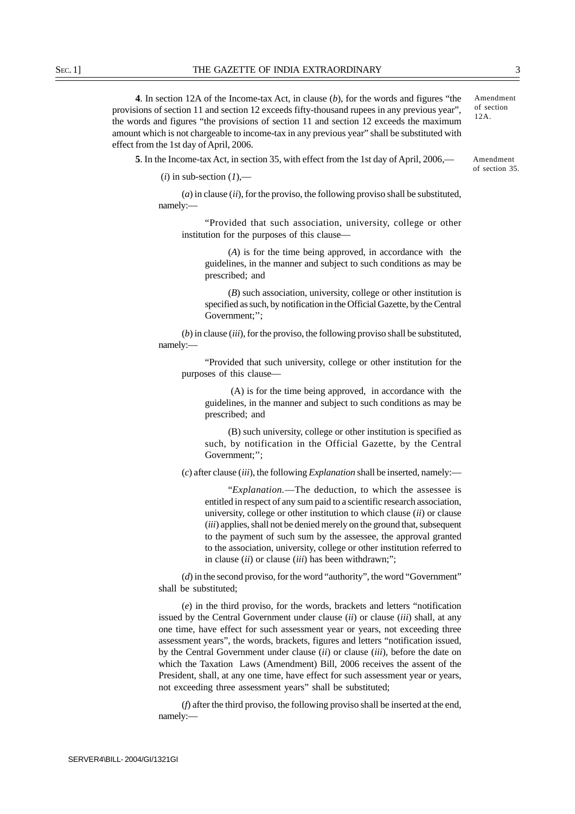**4**. In section 12A of the Income-tax Act, in clause (*b*), for the words and figures "the provisions of section 11 and section 12 exceeds fifty-thousand rupees in any previous year", the words and figures "the provisions of section 11 and section 12 exceeds the maximum amount which is not chargeable to income-tax in any previous year" shall be substituted with effect from the 1st day of April, 2006.

**5**. In the Income-tax Act, in section 35, with effect from the 1st day of April, 2006,—

 $(i)$  in sub-section  $(I)$ ,—

(*a*) in clause (*ii*), for the proviso, the following proviso shall be substituted, namely:—

"Provided that such association, university, college or other institution for the purposes of this clause—

(*A*) is for the time being approved, in accordance with the guidelines, in the manner and subject to such conditions as may be prescribed; and

(*B*) such association, university, college or other institution is specified as such, by notification in the Official Gazette, by the Central Government;'';

(*b*) in clause (*iii*), for the proviso, the following proviso shall be substituted, namely:—

"Provided that such university, college or other institution for the purposes of this clause—

 (A) is for the time being approved, in accordance with the guidelines, in the manner and subject to such conditions as may be prescribed; and

(B) such university, college or other institution is specified as such, by notification in the Official Gazette, by the Central Government;'';

(*c*) after clause (*iii*), the following *Explanation* shall be inserted, namely:—

"*Explanation.*—The deduction, to which the assessee is entitled in respect of any sum paid to a scientific research association, university, college or other institution to which clause (*ii*) or clause (*iii*) applies, shall not be denied merely on the ground that, subsequent to the payment of such sum by the assessee, the approval granted to the association, university, college or other institution referred to in clause (*ii*) or clause (*iii*) has been withdrawn;";

(*d*) in the second proviso, for the word "authority", the word "Government" shall be substituted;

(*e*) in the third proviso, for the words, brackets and letters "notification issued by the Central Government under clause (*ii*) or clause (*iii*) shall, at any one time, have effect for such assessment year or years, not exceeding three assessment years", the words, brackets, figures and letters "notification issued, by the Central Government under clause (*ii*) or clause (*iii*), before the date on which the Taxation Laws (Amendment) Bill, 2006 receives the assent of the President, shall, at any one time, have effect for such assessment year or years, not exceeding three assessment years" shall be substituted;

(*f*) after the third proviso, the following proviso shall be inserted at the end, namely:—

Amendment of section 35.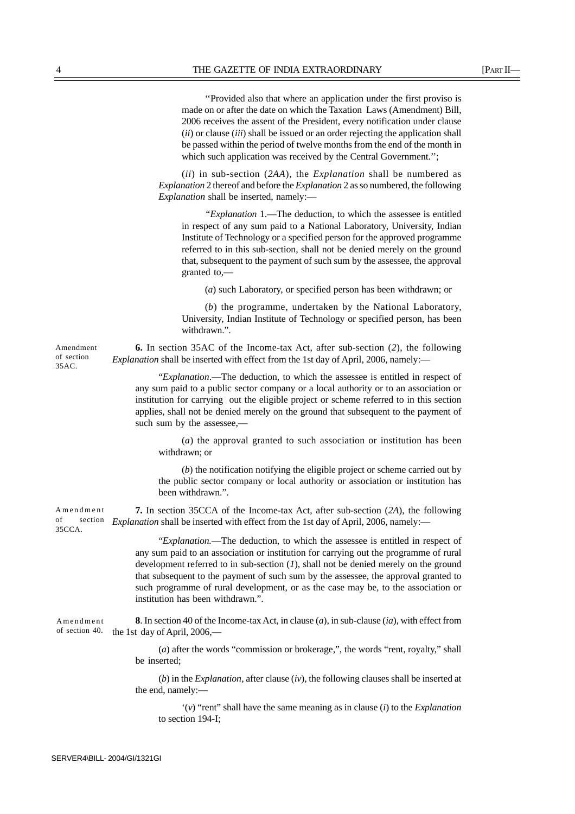''Provided also that where an application under the first proviso is made on or after the date on which the Taxation Laws (Amendment) Bill, 2006 receives the assent of the President, every notification under clause (*ii*) or clause (*iii*) shall be issued or an order rejecting the application shall be passed within the period of twelve months from the end of the month in which such application was received by the Central Government.";

(*ii*) in sub-section (*2AA*), the *Explanation* shall be numbered as *Explanation* 2 thereof and before the *Explanation* 2 as so numbered, the following *Explanation* shall be inserted, namely:—

*"Explanation* 1.—The deduction, to which the assessee is entitled in respect of any sum paid to a National Laboratory, University, Indian Institute of Technology or a specified person for the approved programme referred to in this sub-section, shall not be denied merely on the ground that, subsequent to the payment of such sum by the assessee, the approval granted to,—

(*a*) such Laboratory, or specified person has been withdrawn; or

(*b*) the programme, undertaken by the National Laboratory, University, Indian Institute of Technology or specified person, has been withdrawn.".

**6.** In section 35AC of the Income-tax Act, after sub-section (*2*), the following *Explanation* shall be inserted with effect from the 1st day of April, 2006, namely:—

"*Explanation*.—The deduction, to which the assessee is entitled in respect of any sum paid to a public sector company or a local authority or to an association or institution for carrying out the eligible project or scheme referred to in this section applies, shall not be denied merely on the ground that subsequent to the payment of such sum by the assessee,—

(*a*) the approval granted to such association or institution has been withdrawn; or

(*b*) the notification notifying the eligible project or scheme carried out by the public sector company or local authority or association or institution has been withdrawn.".

**7.** In section 35CCA of the Income-tax Act, after sub-section (*2A*), the following *Explanation* shall be inserted with effect from the 1st day of April, 2006, namely:— Amendment of section  $35CCA$ 

> "*Explanation.*—The deduction, to which the assessee is entitled in respect of any sum paid to an association or institution for carrying out the programme of rural development referred to in sub-section (*1*), shall not be denied merely on the ground that subsequent to the payment of such sum by the assessee, the approval granted to such programme of rural development, or as the case may be, to the association or institution has been withdrawn.".

**8**. In section 40 of the Income-tax Act, in clause (*a*), in sub-clause (*ia*), with effect from of section 40. the 1st day of April, 2006,— Amendment

> (*a*) after the words "commission or brokerage,", the words "rent, royalty," shall be inserted;

> (*b*) in the *Explanation*, after clause (*iv*), the following clauses shall be inserted at the end, namely:—

'(*v*) "rent" shall have the same meaning as in clause (*i*) to the *Explanation* to section 194-I;

Amendment of section 35AC.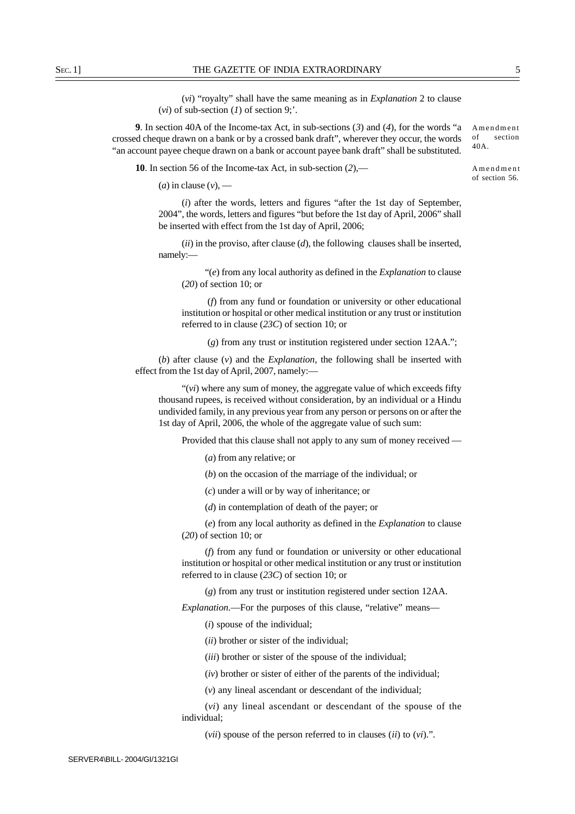(*vi*) "royalty" shall have the same meaning as in *Explanation* 2 to clause (*vi*) of sub-section (*1*) of section 9;'.

**9**. In section 40A of the Income-tax Act, in sub-sections (*3*) and (*4*), for the words "a crossed cheque drawn on a bank or by a crossed bank draft", wherever they occur, the words "an account payee cheque drawn on a bank or account payee bank draft" shall be substituted.

**10**. In section 56 of the Income-tax Act, in sub-section (*2*),—

 $(a)$  in clause  $(v)$ , —

(*i*) after the words, letters and figures "after the 1st day of September, 2004", the words, letters and figures "but before the 1st day of April, 2006" shall be inserted with effect from the 1st day of April, 2006;

(*ii*) in the proviso, after clause (*d*), the following clauses shall be inserted, namely:—

"(*e*) from any local authority as defined in the *Explanation* to clause (*20*) of section 10; or

 (*f*) from any fund or foundation or university or other educational institution or hospital or other medical institution or any trust or institution referred to in clause (*23C*) of section 10; or

(*g*) from any trust or institution registered under section 12AA.";

(*b*) after clause (*v*) and the *Explanation,* the following shall be inserted with effect from the 1st day of April, 2007, namely:—

"(*vi*) where any sum of money, the aggregate value of which exceeds fifty thousand rupees, is received without consideration, by an individual or a Hindu undivided family, in any previous year from any person or persons on or after the 1st day of April, 2006, the whole of the aggregate value of such sum:

Provided that this clause shall not apply to any sum of money received —

(*a*) from any relative; or

(*b*) on the occasion of the marriage of the individual; or

(*c*) under a will or by way of inheritance; or

(*d*) in contemplation of death of the payer; or

(*e*) from any local authority as defined in the *Explanation* to clause (*20*) of section 10; or

(*f*) from any fund or foundation or university or other educational institution or hospital or other medical institution or any trust or institution referred to in clause (*23C*) of section 10; or

(*g*) from any trust or institution registered under section 12AA.

*Explanation*.—For the purposes of this clause, "relative" means—

(*i*) spouse of the individual;

(*ii*) brother or sister of the individual;

(*iii*) brother or sister of the spouse of the individual;

(*iv*) brother or sister of either of the parents of the individual;

(*v*) any lineal ascendant or descendant of the individual;

(*vi*) any lineal ascendant or descendant of the spouse of the individual;

(*vii*) spouse of the person referred to in clauses (*ii*) to (*vi*).".

Amendment of section 56.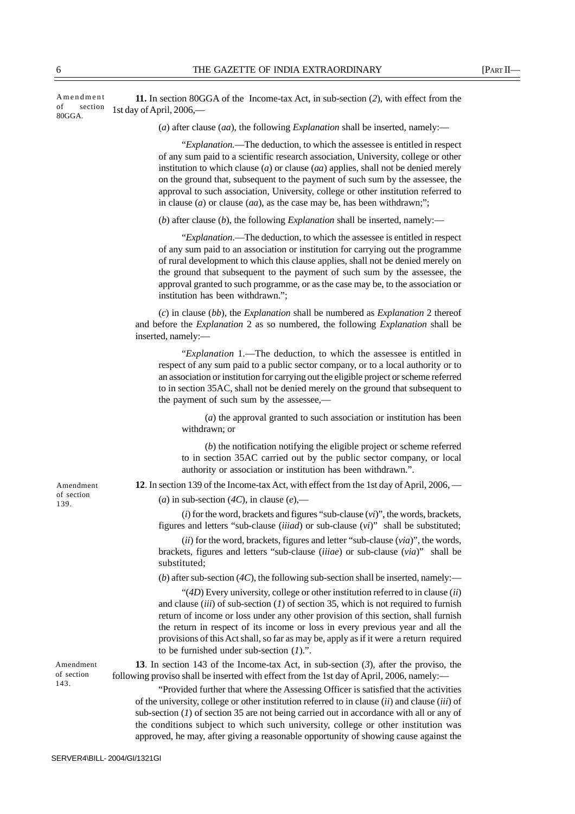| section<br>οf<br>80GGA. | 1st day of April, 2006,—                                                                                                                                                                                                                                                                                                                                                                                                                                                                                                       |
|-------------------------|--------------------------------------------------------------------------------------------------------------------------------------------------------------------------------------------------------------------------------------------------------------------------------------------------------------------------------------------------------------------------------------------------------------------------------------------------------------------------------------------------------------------------------|
|                         | (a) after clause $(aa)$ , the following <i>Explanation</i> shall be inserted, namely:—                                                                                                                                                                                                                                                                                                                                                                                                                                         |
|                         | "Explanation.—The deduction, to which the assessee is entitled in respect<br>of any sum paid to a scientific research association, University, college or other<br>institution to which clause $(a)$ or clause $(aa)$ applies, shall not be denied merely<br>on the ground that, subsequent to the payment of such sum by the assessee, the<br>approval to such association, University, college or other institution referred to<br>in clause ( <i>a</i> ) or clause ( <i>aa</i> ), as the case may be, has been withdrawn;"; |
|                         | (b) after clause (b), the following <i>Explanation</i> shall be inserted, namely:—                                                                                                                                                                                                                                                                                                                                                                                                                                             |
|                         | "Explanation.—The deduction, to which the assessee is entitled in respect<br>of any sum paid to an association or institution for carrying out the programme<br>of rural development to which this clause applies, shall not be denied merely on<br>the ground that subsequent to the payment of such sum by the assessee, the<br>approval granted to such programme, or as the case may be, to the association or<br>institution has been withdrawn.";                                                                        |
|                         | $(c)$ in clause (bb), the <i>Explanation</i> shall be numbered as <i>Explanation</i> 2 thereof<br>and before the <i>Explanation</i> 2 as so numbered, the following <i>Explanation</i> shall be<br>inserted, namely:-                                                                                                                                                                                                                                                                                                          |
|                         | "Explanation 1.—The deduction, to which the assessee is entitled in<br>respect of any sum paid to a public sector company, or to a local authority or to<br>an association or institution for carrying out the eligible project or scheme referred<br>to in section 35AC, shall not be denied merely on the ground that subsequent to<br>the payment of such sum by the assessee,—                                                                                                                                             |
|                         | $(a)$ the approval granted to such association or institution has been<br>withdrawn; or                                                                                                                                                                                                                                                                                                                                                                                                                                        |
|                         | $(b)$ the notification notifying the eligible project or scheme referred<br>to in section 35AC carried out by the public sector company, or local<br>authority or association or institution has been withdrawn.".                                                                                                                                                                                                                                                                                                             |
| Amendment               | 12. In section 139 of the Income-tax Act, with effect from the 1st day of April, 2006, —                                                                                                                                                                                                                                                                                                                                                                                                                                       |
| of section<br>139.      | (a) in sub-section (4C), in clause (e),—                                                                                                                                                                                                                                                                                                                                                                                                                                                                                       |
|                         | $(i)$ for the word, brackets and figures "sub-clause $(vi)$ ", the words, brackets,<br>figures and letters "sub-clause ( <i>iiiad</i> ) or sub-clause $(vi)$ " shall be substituted;                                                                                                                                                                                                                                                                                                                                           |
|                         | $(ii)$ for the word, brackets, figures and letter "sub-clause $(via)$ ", the words,<br>brackets, figures and letters "sub-clause (iiiae) or sub-clause (via)" shall be<br>substituted;                                                                                                                                                                                                                                                                                                                                         |
|                         | (b) after sub-section $(4C)$ , the following sub-section shall be inserted, namely:—                                                                                                                                                                                                                                                                                                                                                                                                                                           |
|                         | "( $4D$ ) Every university, college or other institution referred to in clause (ii)<br>and clause (iii) of sub-section $(1)$ of section 35, which is not required to furnish<br>return of income or loss under any other provision of this section, shall furnish<br>the return in respect of its income or loss in every previous year and all the                                                                                                                                                                            |

**11.** In section 80GGA of the Income-tax Act, in sub-section (*2*), with effect from the Amendment

> **13**. In section 143 of the Income-tax Act, in sub-section (*3*), after the proviso, the following proviso shall be inserted with effect from the 1st day of April, 2006, namely:—

to be furnished under sub-section (*1*).".

"Provided further that where the Assessing Officer is satisfied that the activities of the university, college or other institution referred to in clause (*ii*) and clause (*iii*) of sub-section (*1*) of section 35 are not being carried out in accordance with all or any of the conditions subject to which such university, college or other institution was approved, he may, after giving a reasonable opportunity of showing cause against the

provisions of this Act shall, so far as may be, apply as if it were a return required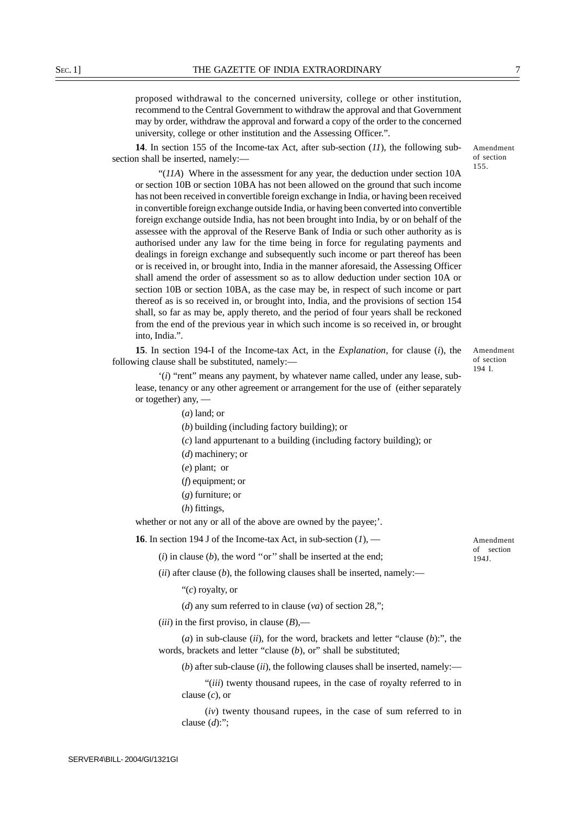proposed withdrawal to the concerned university, college or other institution, recommend to the Central Government to withdraw the approval and that Government may by order, withdraw the approval and forward a copy of the order to the concerned university, college or other institution and the Assessing Officer.".

**14**. In section 155 of the Income-tax Act, after sub-section (*11*), the following subsection shall be inserted, namely:—

"(*11A*) Where in the assessment for any year, the deduction under section 10A or section 10B or section 10BA has not been allowed on the ground that such income has not been received in convertible foreign exchange in India, or having been received in convertible foreign exchange outside India, or having been converted into convertible foreign exchange outside India, has not been brought into India, by or on behalf of the assessee with the approval of the Reserve Bank of India or such other authority as is authorised under any law for the time being in force for regulating payments and dealings in foreign exchange and subsequently such income or part thereof has been or is received in, or brought into, India in the manner aforesaid, the Assessing Officer shall amend the order of assessment so as to allow deduction under section 10A or section 10B or section 10BA, as the case may be, in respect of such income or part thereof as is so received in, or brought into, India, and the provisions of section 154 shall, so far as may be, apply thereto, and the period of four years shall be reckoned from the end of the previous year in which such income is so received in, or brought into, India.".

**15**. In section 194-I of the Income-tax Act, in the *Explanation*, for clause (*i*), the following clause shall be substituted, namely:—

'(*i*) "rent" means any payment, by whatever name called, under any lease, sublease, tenancy or any other agreement or arrangement for the use of (either separately or together) any, —

(*a*) land; or

(*b*) building (including factory building); or

- (*c*) land appurtenant to a building (including factory building); or
- (*d*) machinery; or
- (*e*) plant; or
- (*f*) equipment; or
- (*g*) furniture; or
- (*h*) fittings,

whether or not any or all of the above are owned by the payee;'.

**16**. In section 194 J of the Income-tax Act, in sub-section (*1*), —

 $(i)$  in clause  $(b)$ , the word "or" shall be inserted at the end:

(*ii*) after clause (*b*), the following clauses shall be inserted, namely:—

"(*c*) royalty, or

(*d*) any sum referred to in clause (*va*) of section 28,";

 $(iii)$  in the first proviso, in clause  $(B)$ ,—

(*a*) in sub-clause (*ii*), for the word, brackets and letter "clause (*b*):", the words, brackets and letter "clause (b), or" shall be substituted;

 $(b)$  after sub-clause (*ii*), the following clauses shall be inserted, namely:—

"(*iii*) twenty thousand rupees, in the case of royalty referred to in clause (*c*), or

(*iv*) twenty thousand rupees, in the case of sum referred to in clause (*d*):";

Amendment of section 194 I.

of section 155.

Amendment

Amendment of section 194J.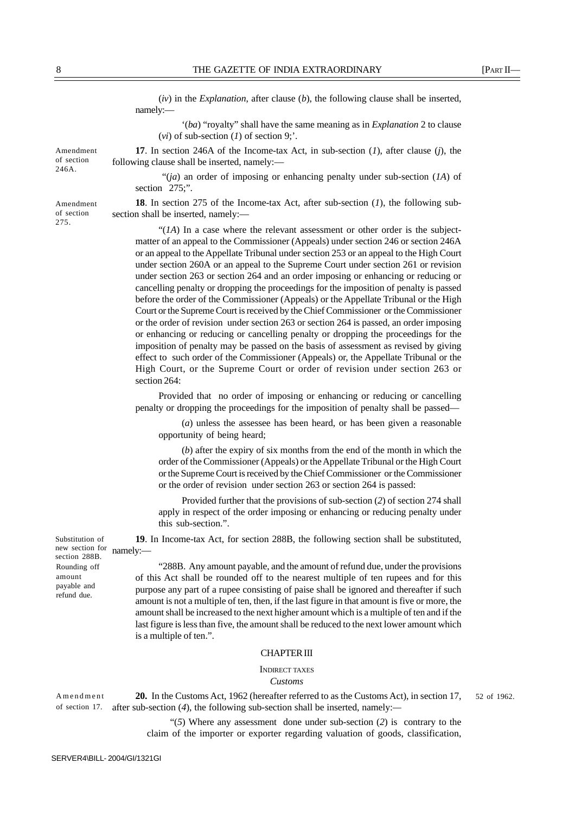(*iv*) in the *Explanation*, after clause (*b*), the following clause shall be inserted, namely:—

'(*ba*) "royalty" shall have the same meaning as in *Explanation* 2 to clause (*vi*) of sub-section (*1*) of section 9;'.

**17**. In section 246A of the Income-tax Act, in sub-section (*1*), after clause (*j*), the following clause shall be inserted, namely:—

 "(*ja*) an order of imposing or enhancing penalty under sub-section (*1A*) of section 275;".

**18**. In section 275 of the Income-tax Act, after sub-section (*1*), the following subsection shall be inserted, namely:-

"(*1A*) In a case where the relevant assessment or other order is the subjectmatter of an appeal to the Commissioner (Appeals) under section 246 or section 246A or an appeal to the Appellate Tribunal under section 253 or an appeal to the High Court under section 260A or an appeal to the Supreme Court under section 261 or revision under section 263 or section 264 and an order imposing or enhancing or reducing or cancelling penalty or dropping the proceedings for the imposition of penalty is passed before the order of the Commissioner (Appeals) or the Appellate Tribunal or the High Court or the Supreme Court is received by the Chief Commissioner or the Commissioner or the order of revision under section 263 or section 264 is passed, an order imposing or enhancing or reducing or cancelling penalty or dropping the proceedings for the imposition of penalty may be passed on the basis of assessment as revised by giving effect to such order of the Commissioner (Appeals) or, the Appellate Tribunal or the High Court, or the Supreme Court or order of revision under section 263 or section 264:

Provided that no order of imposing or enhancing or reducing or cancelling penalty or dropping the proceedings for the imposition of penalty shall be passed—

(*a*) unless the assessee has been heard, or has been given a reasonable opportunity of being heard;

(*b*) after the expiry of six months from the end of the month in which the order of the Commissioner (Appeals) or the Appellate Tribunal or the High Court or the Supreme Court is received by the Chief Commissioner or the Commissioner or the order of revision under section 263 or section 264 is passed:

Provided further that the provisions of sub-section (*2*) of section 274 shall apply in respect of the order imposing or enhancing or reducing penalty under this sub-section.".

**19**. In Income-tax Act, for section 288B, the following section shall be substituted, namely:—

"288B. Any amount payable, and the amount of refund due, under the provisions of this Act shall be rounded off to the nearest multiple of ten rupees and for this purpose any part of a rupee consisting of paise shall be ignored and thereafter if such amount is not a multiple of ten, then, if the last figure in that amount is five or more, the amount shall be increased to the next higher amount which is a multiple of ten and if the last figure is less than five, the amount shall be reduced to the next lower amount which is a multiple of ten.".

### CHAPTER III

INDIRECT TAXES

#### *Customs*

**20.** In the Customs Act, 1962 (hereafter referred to as the Customs Act), in section 17, after sub-section (*4*), the following sub-section shall be inserted, namely:*—* Amendment of section 17.

> "(*5*) Where any assessment done under sub-section (*2*) is contrary to the claim of the importer or exporter regarding valuation of goods, classification,

Substitution of new section for section 288B. Rounding off amount payable and

refund due.

Amendment of section 246A.

Amendment of section 275.

52 of 1962.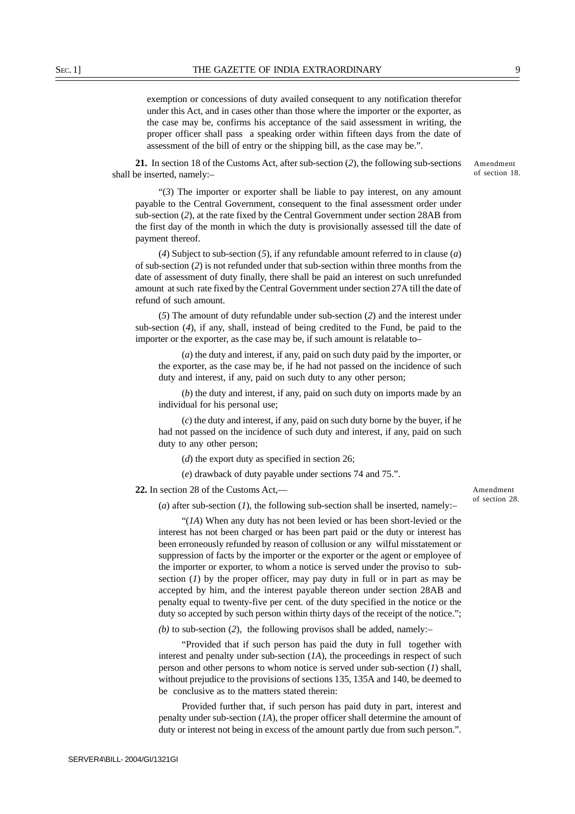exemption or concessions of duty availed consequent to any notification therefor under this Act, and in cases other than those where the importer or the exporter, as the case may be, confirms his acceptance of the said assessment in writing, the proper officer shall pass a speaking order within fifteen days from the date of assessment of the bill of entry or the shipping bill, as the case may be.".

**21.** In section 18 of the Customs Act, after sub-section (*2*), the following sub-sections shall be inserted, namely:–

"(*3*) The importer or exporter shall be liable to pay interest, on any amount payable to the Central Government, consequent to the final assessment order under sub-section (*2*), at the rate fixed by the Central Government under section 28AB from the first day of the month in which the duty is provisionally assessed till the date of payment thereof.

(*4*) Subject to sub-section (*5*), if any refundable amount referred to in clause (*a*) of sub-section (*2*) is not refunded under that sub-section within three months from the date of assessment of duty finally, there shall be paid an interest on such unrefunded amount at such rate fixed by the Central Government under section 27A till the date of refund of such amount.

(*5*) The amount of duty refundable under sub-section (*2*) and the interest under sub-section (*4*), if any, shall, instead of being credited to the Fund, be paid to the importer or the exporter, as the case may be, if such amount is relatable to–

(*a*) the duty and interest, if any, paid on such duty paid by the importer, or the exporter, as the case may be, if he had not passed on the incidence of such duty and interest, if any, paid on such duty to any other person;

(*b*) the duty and interest, if any, paid on such duty on imports made by an individual for his personal use;

(*c*) the duty and interest, if any, paid on such duty borne by the buyer, if he had not passed on the incidence of such duty and interest, if any, paid on such duty to any other person;

(*d*) the export duty as specified in section 26;

(*e*) drawback of duty payable under sections 74 and 75.".

### **22.** In section 28 of the Customs Act,—

(*a*) after sub-section (*1*), the following sub-section shall be inserted, namely:–

"(*1A*) When any duty has not been levied or has been short-levied or the interest has not been charged or has been part paid or the duty or interest has been erroneously refunded by reason of collusion or any wilful misstatement or suppression of facts by the importer or the exporter or the agent or employee of the importer or exporter, to whom a notice is served under the proviso to subsection  $(I)$  by the proper officer, may pay duty in full or in part as may be accepted by him, and the interest payable thereon under section 28AB and penalty equal to twenty-five per cent. of the duty specified in the notice or the duty so accepted by such person within thirty days of the receipt of the notice.";

*(b)* to sub-section (*2*), the following provisos shall be added, namely:–

"Provided that if such person has paid the duty in full together with interest and penalty under sub-section (*1A*), the proceedings in respect of such person and other persons to whom notice is served under sub-section (*1*) shall, without prejudice to the provisions of sections 135, 135A and 140, be deemed to be conclusive as to the matters stated therein:

Provided further that, if such person has paid duty in part, interest and penalty under sub-section (*1A*), the proper officer shall determine the amount of duty or interest not being in excess of the amount partly due from such person.". Amendment of section 28.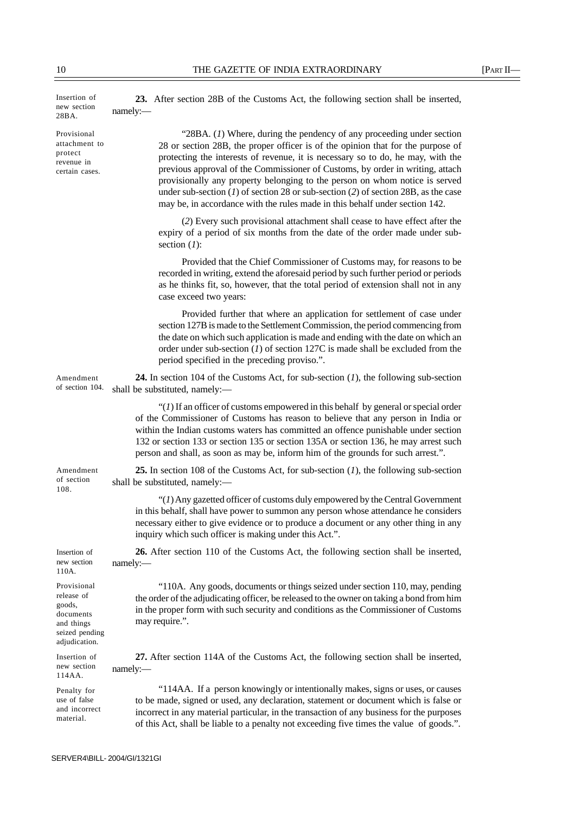| Insertion of<br>new section<br>28BA.                                                              | 23. After section 28B of the Customs Act, the following section shall be inserted,<br>namely:                                                                                                                                                                                                                                                                                                                                                                                                                                                                                          |
|---------------------------------------------------------------------------------------------------|----------------------------------------------------------------------------------------------------------------------------------------------------------------------------------------------------------------------------------------------------------------------------------------------------------------------------------------------------------------------------------------------------------------------------------------------------------------------------------------------------------------------------------------------------------------------------------------|
| Provisional<br>attachment to<br>protect<br>revenue in<br>certain cases.                           | "28BA. $(I)$ Where, during the pendency of any proceeding under section<br>28 or section 28B, the proper officer is of the opinion that for the purpose of<br>protecting the interests of revenue, it is necessary so to do, he may, with the<br>previous approval of the Commissioner of Customs, by order in writing, attach<br>provisionally any property belonging to the person on whom notice is served<br>under sub-section $(1)$ of section 28 or sub-section $(2)$ of section 28B, as the case<br>may be, in accordance with the rules made in this behalf under section 142. |
|                                                                                                   | (2) Every such provisional attachment shall cease to have effect after the<br>expiry of a period of six months from the date of the order made under sub-<br>section $(I)$ :                                                                                                                                                                                                                                                                                                                                                                                                           |
|                                                                                                   | Provided that the Chief Commissioner of Customs may, for reasons to be<br>recorded in writing, extend the aforesaid period by such further period or periods<br>as he thinks fit, so, however, that the total period of extension shall not in any<br>case exceed two years:                                                                                                                                                                                                                                                                                                           |
|                                                                                                   | Provided further that where an application for settlement of case under<br>section 127B is made to the Settlement Commission, the period commencing from<br>the date on which such application is made and ending with the date on which an<br>order under sub-section $(I)$ of section 127C is made shall be excluded from the<br>period specified in the preceding proviso.".                                                                                                                                                                                                        |
| Amendment<br>of section 104.                                                                      | <b>24.</b> In section 104 of the Customs Act, for sub-section $(I)$ , the following sub-section<br>shall be substituted, namely:-                                                                                                                                                                                                                                                                                                                                                                                                                                                      |
|                                                                                                   | " $(1)$ If an officer of customs empowered in this behalf by general or special order<br>of the Commissioner of Customs has reason to believe that any person in India or<br>within the Indian customs waters has committed an offence punishable under section<br>132 or section 133 or section 135 or section 135A or section 136, he may arrest such<br>person and shall, as soon as may be, inform him of the grounds for such arrest.".                                                                                                                                           |
| Amendment<br>of section<br>108.                                                                   | 25. In section 108 of the Customs Act, for sub-section $(I)$ , the following sub-section<br>shall be substituted, namely:-                                                                                                                                                                                                                                                                                                                                                                                                                                                             |
|                                                                                                   | " $(1)$ Any gazetted officer of customs duly empowered by the Central Government<br>in this behalf, shall have power to summon any person whose attendance he considers<br>necessary either to give evidence or to produce a document or any other thing in any<br>inquiry which such officer is making under this Act.".                                                                                                                                                                                                                                                              |
| Insertion of<br>new section<br>110A.                                                              | 26. After section 110 of the Customs Act, the following section shall be inserted,<br>namely:                                                                                                                                                                                                                                                                                                                                                                                                                                                                                          |
| Provisional<br>release of<br>goods,<br>documents<br>and things<br>seized pending<br>adjudication. | "110A. Any goods, documents or things seized under section 110, may, pending<br>the order of the adjudicating officer, be released to the owner on taking a bond from him<br>in the proper form with such security and conditions as the Commissioner of Customs<br>may require.".                                                                                                                                                                                                                                                                                                     |
| Insertion of<br>new section<br>114AA.                                                             | 27. After section 114A of the Customs Act, the following section shall be inserted,<br>namely:                                                                                                                                                                                                                                                                                                                                                                                                                                                                                         |
| Penalty for<br>use of false<br>and incorrect<br>material.                                         | "114AA. If a person knowingly or intentionally makes, signs or uses, or causes<br>to be made, signed or used, any declaration, statement or document which is false or<br>incorrect in any material particular, in the transaction of any business for the purposes<br>of this Act, shall be liable to a penalty not exceeding five times the value of goods.".                                                                                                                                                                                                                        |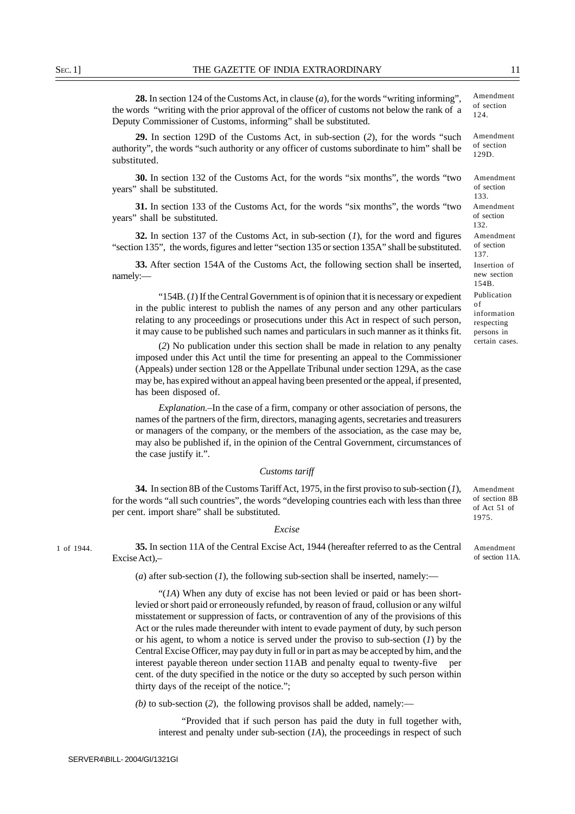**28.** In section 124 of the Customs Act, in clause (*a*), for the words "writing informing", the words "writing with the prior approval of the officer of customs not below the rank of a Deputy Commissioner of Customs, informing" shall be substituted.

**29.** In section 129D of the Customs Act, in sub-section (*2*), for the words "such authority", the words "such authority or any officer of customs subordinate to him" shall be substituted.

**30.** In section 132 of the Customs Act, for the words "six months", the words "two years" shall be substituted.

**31.** In section 133 of the Customs Act, for the words "six months", the words "two years" shall be substituted.

**32.** In section 137 of the Customs Act, in sub-section (*1*), for the word and figures "section 135", the words, figures and letter "section 135 or section 135A" shall be substituted.

**33.** After section 154A of the Customs Act, the following section shall be inserted, namely:—

"154B. (*1*) If the Central Government is of opinion that it is necessary or expedient in the public interest to publish the names of any person and any other particulars relating to any proceedings or prosecutions under this Act in respect of such person, it may cause to be published such names and particulars in such manner as it thinks fit.

(*2*) No publication under this section shall be made in relation to any penalty imposed under this Act until the time for presenting an appeal to the Commissioner (Appeals) under section 128 or the Appellate Tribunal under section 129A, as the case may be, has expired without an appeal having been presented or the appeal, if presented, has been disposed of.

*Explanation.*–In the case of a firm, company or other association of persons, the names of the partners of the firm, directors, managing agents, secretaries and treasurers or managers of the company, or the members of the association, as the case may be, may also be published if, in the opinion of the Central Government, circumstances of the case justify it.".

#### *Customs tariff*

**34.** In section 8B of the Customs Tariff Act, 1975, in the first proviso to sub-section (*1*), for the words "all such countries", the words "developing countries each with less than three per cent. import share" shall be substituted.

### *Excise*

**35.** In section 11A of the Central Excise Act, 1944 (hereafter referred to as the Central Excise Act),–

(*a*) after sub-section (*1*), the following sub-section shall be inserted, namely:—

"(*1A*) When any duty of excise has not been levied or paid or has been shortlevied or short paid or erroneously refunded, by reason of fraud, collusion or any wilful misstatement or suppression of facts, or contravention of any of the provisions of this Act or the rules made thereunder with intent to evade payment of duty, by such person or his agent, to whom a notice is served under the proviso to sub-section (*1*) by the Central Excise Officer, may pay duty in full or in part as may be accepted by him, and the interest payable thereon under section 11AB and penalty equal to twenty-five per cent. of the duty specified in the notice or the duty so accepted by such person within thirty days of the receipt of the notice.";

*(b)* to sub-section (*2*), the following provisos shall be added, namely:—

"Provided that if such person has paid the duty in full together with, interest and penalty under sub-section (*1A*), the proceedings in respect of such

1 of 1944.

Amendment of section

129D. Amendment of section 132. Amendment of section 133. Amendment of section 137. Insertion of new section 154B. Publication of information respecting persons in

certain cases.

Amendment of section 8B of Act 51 of 1975.

Amendment of section 11A.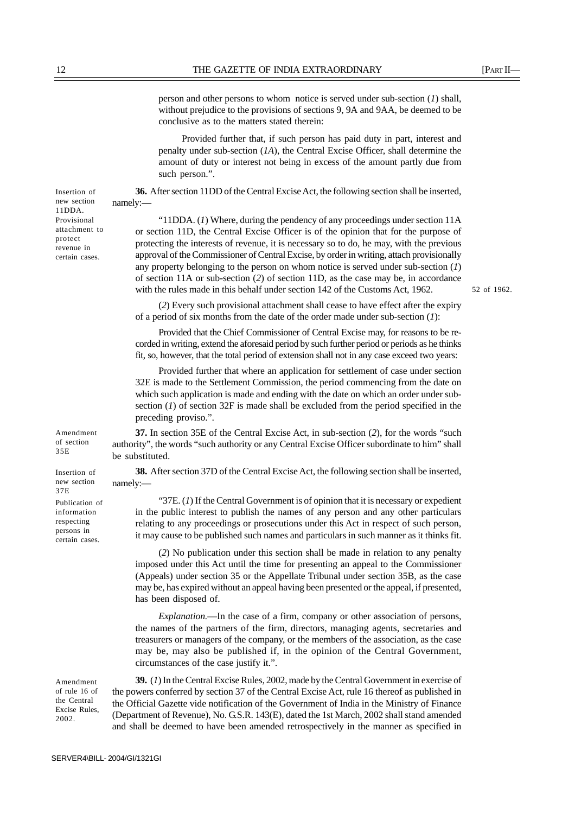person and other persons to whom notice is served under sub-section (*1*) shall, without prejudice to the provisions of sections 9, 9A and 9AA, be deemed to be conclusive as to the matters stated therein:

Provided further that, if such person has paid duty in part, interest and penalty under sub-section (*1A*), the Central Excise Officer, shall determine the amount of duty or interest not being in excess of the amount partly due from such person.".

**36.** After section 11DD of the Central Excise Act, the following section shall be inserted, namely:**—**

"11DDA. (*1*) Where, during the pendency of any proceedings under section 11A or section 11D, the Central Excise Officer is of the opinion that for the purpose of protecting the interests of revenue, it is necessary so to do, he may, with the previous approval of the Commissioner of Central Excise, by order in writing, attach provisionally any property belonging to the person on whom notice is served under sub-section (*1*) of section 11A or sub-section (*2*) of section 11D, as the case may be, in accordance with the rules made in this behalf under section 142 of the Customs Act, 1962.

52 of 1962.

(*2*) Every such provisional attachment shall cease to have effect after the expiry of a period of six months from the date of the order made under sub-section (*1*):

Provided that the Chief Commissioner of Central Excise may, for reasons to be recorded in writing, extend the aforesaid period by such further period or periods as he thinks fit, so, however, that the total period of extension shall not in any case exceed two years:

Provided further that where an application for settlement of case under section 32E is made to the Settlement Commission, the period commencing from the date on which such application is made and ending with the date on which an order under subsection (*1*) of section 32F is made shall be excluded from the period specified in the preceding proviso.".

**37.** In section 35E of the Central Excise Act, in sub-section (*2*), for the words "such authority", the words "such authority or any Central Excise Officer subordinate to him" shall be substituted.

**38.** After section 37D of the Central Excise Act, the following section shall be inserted, namely:—

"37E. (*1*) If the Central Government is of opinion that it is necessary or expedient in the public interest to publish the names of any person and any other particulars relating to any proceedings or prosecutions under this Act in respect of such person, it may cause to be published such names and particulars in such manner as it thinks fit.

(*2*) No publication under this section shall be made in relation to any penalty imposed under this Act until the time for presenting an appeal to the Commissioner (Appeals) under section 35 or the Appellate Tribunal under section 35B, as the case may be, has expired without an appeal having been presented or the appeal, if presented, has been disposed of.

*Explanation.*—In the case of a firm, company or other association of persons, the names of the partners of the firm, directors, managing agents, secretaries and treasurers or managers of the company, or the members of the association, as the case may be, may also be published if, in the opinion of the Central Government, circumstances of the case justify it.".

**39.** (*1*) In the Central Excise Rules, 2002, made by the Central Government in exercise of the powers conferred by section 37 of the Central Excise Act, rule 16 thereof as published in the Official Gazette vide notification of the Government of India in the Ministry of Finance (Department of Revenue), No. G.S.R. 143(E), dated the 1st March, 2002 shall stand amended and shall be deemed to have been amended retrospectively in the manner as specified in

Insertion of new section 11DDA. Provisional attachment to protect revenue in certain cases.

Amendment of section 35E

Insertion of new section

37E Publication of information respecting persons in certain cases*.*

Amendment of rule 16 of the Central Excise Rules, 2002.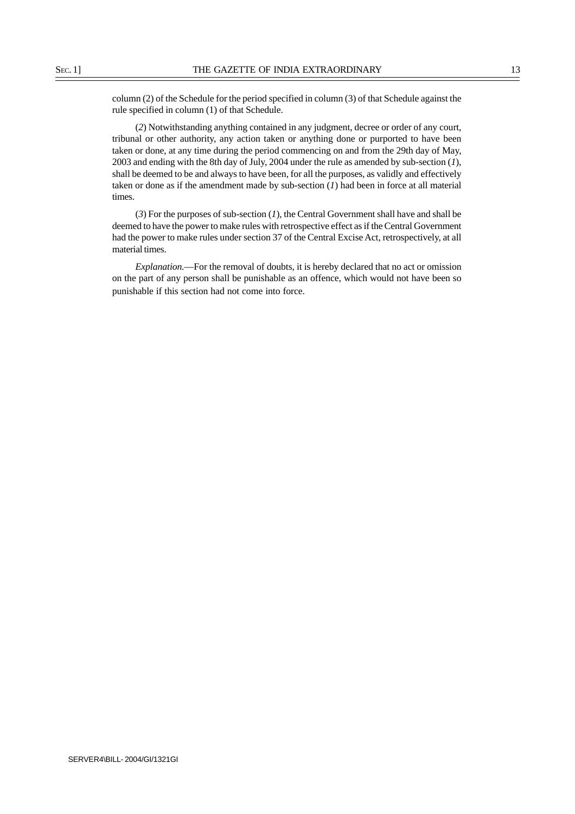column (2) of the Schedule for the period specified in column (3) of that Schedule against the rule specified in column (1) of that Schedule.

(*2*) Notwithstanding anything contained in any judgment, decree or order of any court, tribunal or other authority, any action taken or anything done or purported to have been taken or done, at any time during the period commencing on and from the 29th day of May, 2003 and ending with the 8th day of July, 2004 under the rule as amended by sub-section (*1*), shall be deemed to be and always to have been, for all the purposes, as validly and effectively taken or done as if the amendment made by sub-section (*1*) had been in force at all material times.

(*3*) For the purposes of sub-section (*1*), the Central Government shall have and shall be deemed to have the power to make rules with retrospective effect as if the Central Government had the power to make rules under section 37 of the Central Excise Act, retrospectively, at all material times.

*Explanation.*—For the removal of doubts, it is hereby declared that no act or omission on the part of any person shall be punishable as an offence, which would not have been so punishable if this section had not come into force.